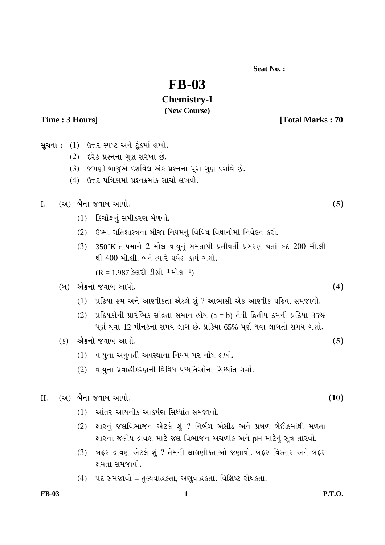**Seat No. : \_\_\_\_\_\_\_\_\_\_\_\_** 

# **FB-03**

## **Chemistry-I**

### **(New Course)**

Time : 3 Hours] **Time : 3 Hours Total Marks : 70** 

**સચના:** (1) ઉત્તર સ્પષ્ટ અને ટંકમાં લખો.  $(2)$   $\varepsilon$ રેક પ્રશ્નના ગુણ સરખા છે. (3) જમણી બાજુએ દર્શાવેલ અંક પ્રશ્નના પૂરા ગુણ દર્શાવે છે. (4) ઉત્તર-પત્રિકામાં પ્રશ્નક્રમાંક સાચો લખવો. I. (…) **¼Ûé**¶ÛÛ ›÷ÈÛÛ¼Û …Û¸ÛÛé. **(5)**  $(1)$  કિર્યોફનં સમીકરણ મેળવો. (2) ઉષ્માગતિશાસ્ત્રના બીજા નિયમનું વિવિધ વિધાનોમાં નિવેદન કરો. (3) 350°K ©ÛÛ¸Û¾ÛÛ¶Ûé 2 ¾ÛÛéÅÛ ÈÛÛ¿Ûä¶Ûä× ÍÛ¾Û©ÛÛ¸Ûà ¸Ûó©ÛàÈÛ©Ûâ ¸ÛóÍÛÁõ¨Û ¬Û©ÛÛ× õ−ù 200 ¾Ûà.ÅÛà થી 400 મી.લી. બને ત્યારે થયેલ કાર્ય ગણો.  $(R = 1.987$  કેલરી ડીગ્રી<sup>-1</sup> મોલ<sup>-1</sup>) (¼Û) **…éõ**¶ÛÛé ›÷ÈÛÛ¼Û …Û¸ÛÛé. **(4)** (1) પ્રક્રિયા ક્રમ અને આણ્વીકતા એટલે શું ? આભાસી એક આણ્વીક પ્રક્રિયા સમજાવો.  $(2)$  પ્રક્રિયકોની પ્રારંભિક સાંદ્રતા સમાન હોય  $(a = b)$  તેવી દ્વિતીય ક્રમની પ્રક્રિયા 35% પૂર્ણ થવા 12 મીનટનો સમય લાગે છે. પ્રક્રિયા 65% પૂર્ણ થવા લાગતો સમય ગણો. (õ) **…éõ**¶ÛÛé ›÷ÈÛÛ¼Û …Û¸ÛÛé. **(5)** (1) વાયુના અનુવર્તી અવસ્થાના નિયમ પર નોંધ લખો. (2) વાયુના પ્રવાહીકરણની વિવિધ પધ્ધતિઓના સિધ્ધાંત ચર્ચો.  $II.$  (આ) **બે**ના જવાબ આપો. (10)  $(1)$  આંતર આયનીક આકર્ષણ સિધ્ધાંત સમજાવો. (2) લારનું જલવિભાજન એટલે શું ? નિર્બળ એસીડ અને પ્રબળ બેઈઝમાંથી મળતા " ક્ષારના જલીય દ્રાવણ માટે જલ વિભાજન અચળાંક અને pH માટેનું સૂત્ર તારવો. (3) બફર દ્રાવણ એટલે શું ? તેમની લાક્ષણીકતાઓ જણાવો. બફર વિસ્તાર અને બફર ક્ષમતા સમજાવો. (4) પદ સમજાવો – તુલ્યવાહકતા, અણુવાહકતા, વિશિષ્ટ રોધકતા.

FB-03 **1** P.T.O.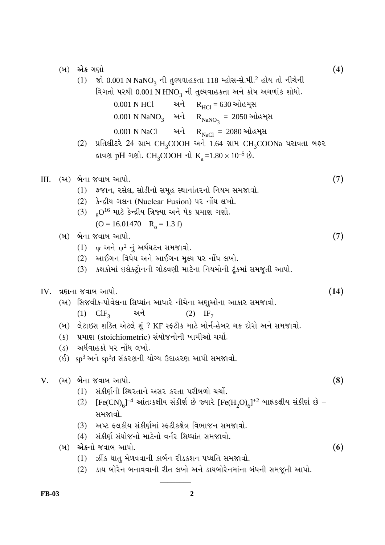(¼Û) **…é**õ •Û¨ÛÛé **(4)**  $(1)$   $\gamma$ è 0.001 N NaNO<sub>3</sub> ની તુલ્યવાહકતા 118 મ્હોસ-સે.મી.<sup>2</sup> હોય તો નીચેની વિગતો પરથી 0.001 N HNO<sub>3</sub> ની તુલ્યવાહકતા અને કોષ અચળાંક શોધો. 0.001 N HCl 2 અને  $R_{\text{HCI}} = 630$  ઓહમ્સ  $0.001 \text{ N} \text{ Na} \text{NO}_3$  અને  $\text{R}_{\text{Na} \text{NO}_3} = 2050$  ઓહમ્સ 0.001 N NaCl … અને  $R_{NaCl} = 2080$  ઓહમ્સ (2) પ્રતિલીટરે 24 ગ્રામ CH<sub>3</sub>COOH અને 1.64 ગ્રામ CH<sub>3</sub>COONa ધરાવતા બકર  $\mu$ Iquel pH • ought. CH<sub>3</sub>COOH  $\pi$ ù K<sub>a</sub> = 1.80 × 10<sup>-5</sup>  $\dot{\vartheta}$ . III. (…) **¼Û**é¶ÛÛ ›÷ÈÛÛ¼Û …Û¸ÛÛé. **(7)** (1) इજાન, રસેલ, સોડીનો સમૂહ સ્થાનાંતરનો નિયમ સમજાવો. (2) કેન્દ્રીય ગલન (Nuclear Fusion) પર નોંધ લખો.  $(3)$   $80^{16}$  માટે કેન્દ્રીય ત્રિજ્યા અને પેક પ્રમાણ ગણો.  $(O = 16.01470$   $R_0 = 1.3$  f) (¼Û) **¼Û**é¶ÛÛ ›÷ÈÛÛ¼Û …Û¸ÛÛé. **(7)**  $(1)$  ψ અને  $ψ^2$  નું અર્થઘટન સમજાવો. (2) …ઓઈગન વિધેય અને આઈગન મુલ્ય પર નોંધ લખો. (3) કલકોમાં ઇલેક્ટ્રોનની ગોઠવણી માટેના નિયમોની ટુંકમાં સમજૂતી આપો.  $IV.$   $\lambda$ **ણા**ના જવાબ આપો.  $(14)$ (અ) સિજવીક-પોવેલના સિધ્ધાંત આધારે નીચેના અણુઓના આકાર સમજાવો.  $(1)$  ClF<sub>3</sub> 2 in 2 and  $(2)$  IF<sub>7</sub> (બ) લેટાઇસ શક્તિ એટલે શં? KF સ્કટીક માટે બોર્ન-હેબર ચક્ર દોરો અને સમજાવો. (ક) પ્રમાણ (stoichiometric) સંયોજનોની ખામીઓ ચર્ચો. (ડ) અર્ધવાહકો પર નોંધ લખો.  $($ ઈ $)$  sp<sup>3</sup> અને sp<sup>3</sup>d સંકરણની યોગ્ય ઉદાહરણ આપી સમજાવો. V. (…) **¼Ûé**¶ÛÛ ›÷ÈÛÛ¼Û …Û¸ÛÛé. **(8)** (1) સંકીર્ણની સ્થિરતાને અસર કરતા પરીબળો ચર્ચો. (2)  $[{\rm Fe(CN)}_6]^{-4}$  આંત:કક્ષીય સંકીર્ણ છે જ્યારે  $[{\rm Fe(H_2O)}_6]^{+2}$  બાહૃકક્ષીય સંકીર્ણ છે – સમજાવો. (3) આપ્ટ ફલકીય સંકીર્ણમાં સ્ફટીકક્ષેત્ર વિભાજન સમજાવો. (4) સંકીર્ણ સંયોજનો માટેનો વર્નર સિધ્ધાંત સમજાવો. (¼Û) **…é**õ¶ÛÛé ›÷ÈÛÛ¼Û …Û¸ÛÛé. **(6)**  $(1)$   $\overline{O}$ ીક ધાતુ મેળવવાની કાર્બન રીડકશન પધ્ધતિ સમજાવો.

(2) ડાય બોરેન બનાવવાની રીત લખો અને ડાયબોરેનમાંના બંધની સમજૂતી આપો.

 $\overline{\phantom{a}}$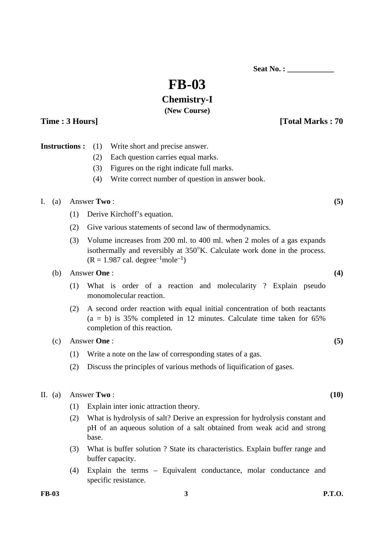**Seat No. :**  $\blacksquare$ 

# **FB-03**

## **Chemistry-I**

#### **(New Course)**

**Time : 3 Hours I** 

|  | <b>Instructions:</b> (1) Write short and precise answer. |
|--|----------------------------------------------------------|
|  | (2) Each question carries equal marks.                   |

- (3) Figures on the right indicate full marks.
- (4) Write correct number of question in answer book.

#### I. (a) Answer **Two** :  $(5)$

- (1) Derive Kirchoff's equation.
- (2) Give various statements of second law of thermodynamics.
- (3) Volume increases from 200 ml. to 400 ml. when 2 moles of a gas expands isothermally and reversibly at 350°K. Calculate work done in the process.  $(R = 1.987 \text{ cal. degree}^{-1} \text{mole}^{-1})$

#### (b) Answer **One** : **(4)**

- (1) What is order of a reaction and molecularity ? Explain pseudo monomolecular reaction.
- (2) A second order reaction with equal initial concentration of both reactants  $(a = b)$  is 35% completed in 12 minutes. Calculate time taken for 65% completion of this reaction.

#### (c) Answer **One** : **(5)**

- (1) Write a note on the law of corresponding states of a gas.
- (2) Discuss the principles of various methods of liquification of gases.

#### II. (a) Answer **Two** : **(10)**

- (1) Explain inter ionic attraction theory.
- (2) What is hydrolysis of salt? Derive an expression for hydrolysis constant and pH of an aqueous solution of a salt obtained from weak acid and strong base.
- (3) What is buffer solution ? State its characteristics. Explain buffer range and buffer capacity.
- (4) Explain the terms Equivalent conductance, molar conductance and specific resistance.

**FB-03 3 P.T.O.**